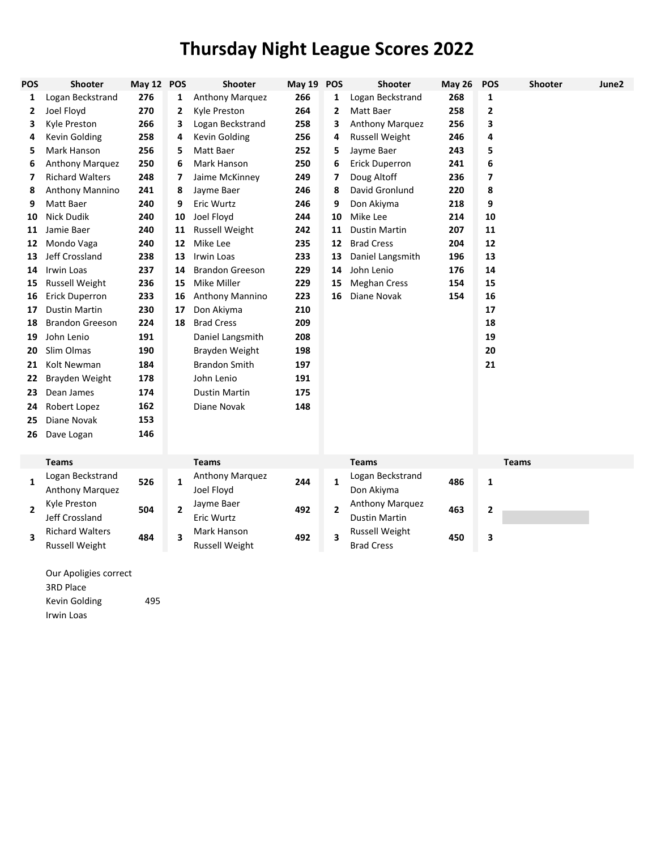## **Thursday Night League Scores 2022**

| <b>POS</b>     | <b>Shooter</b>         | May 12 POS |                       | <b>Shooter</b>         | May 19 POS |                | Shooter               | <b>May 26</b> | <b>POS</b>              | <b>Shooter</b> | June2 |
|----------------|------------------------|------------|-----------------------|------------------------|------------|----------------|-----------------------|---------------|-------------------------|----------------|-------|
| 1              | Logan Beckstrand       | 276        | 1                     | Anthony Marquez        | 266        | 1              | Logan Beckstrand      | 268           | 1                       |                |       |
| 2              | Joel Floyd             | 270        | 2                     | Kyle Preston           | 264        | 2              | Matt Baer             | 258           | $\overline{\mathbf{2}}$ |                |       |
| 3              | Kyle Preston           | 266        | 3                     | Logan Beckstrand       | 258        | 3              | Anthony Marquez       | 256           | 3                       |                |       |
| 4              | Kevin Golding          | 258        | 4                     | Kevin Golding          | 256        | 4              | <b>Russell Weight</b> | 246           | 4                       |                |       |
| 5              | Mark Hanson            | 256        | 5                     | Matt Baer              | 252        | 5              | Jayme Baer            | 243           | 5                       |                |       |
| 6              | Anthony Marquez        | 250        | 6                     | Mark Hanson            | 250        | 6              | <b>Erick Duperron</b> | 241           | 6                       |                |       |
| 7              | <b>Richard Walters</b> | 248        | 7                     | Jaime McKinney         | 249        | 7              | Doug Altoff           | 236           | 7                       |                |       |
| 8              | Anthony Mannino        | 241        | 8                     | Jayme Baer             | 246        | 8              | David Gronlund        | 220           | 8                       |                |       |
| 9              | Matt Baer              | 240        | 9                     | Eric Wurtz             | 246        | 9              | Don Akiyma            | 218           | 9                       |                |       |
| 10             | <b>Nick Dudik</b>      | 240        | 10                    | Joel Floyd             | 244        | 10             | Mike Lee              | 214           | 10                      |                |       |
| 11             | Jamie Baer             | 240        | 11                    | <b>Russell Weight</b>  | 242        | 11             | <b>Dustin Martin</b>  | 207           | 11                      |                |       |
| 12             | Mondo Vaga             | 240        | 12                    | Mike Lee               | 235        | 12             | <b>Brad Cress</b>     | 204           | 12                      |                |       |
| 13             | Jeff Crossland         | 238        | 13                    | Irwin Loas             | 233        | 13             | Daniel Langsmith      | 196           | 13                      |                |       |
| 14             | <b>Irwin Loas</b>      | 237        | 14                    | <b>Brandon Greeson</b> | 229        | 14             | John Lenio            | 176           | 14                      |                |       |
| 15             | <b>Russell Weight</b>  | 236        | 15                    | Mike Miller            | 229        | 15             | <b>Meghan Cress</b>   | 154           | 15                      |                |       |
| 16             | <b>Erick Duperron</b>  | 233        | 16                    | Anthony Mannino        | 223        | 16             | Diane Novak           | 154           | 16                      |                |       |
| 17             | <b>Dustin Martin</b>   | 230        | 17                    | Don Akiyma             | 210        |                |                       |               | 17                      |                |       |
| 18             | <b>Brandon Greeson</b> | 224        | 18                    | <b>Brad Cress</b>      | 209        |                |                       |               | 18                      |                |       |
| 19             | John Lenio             | 191        |                       | Daniel Langsmith       | 208        |                |                       |               | 19                      |                |       |
| 20             | Slim Olmas             | 190        |                       | Brayden Weight         | 198        |                |                       |               | 20                      |                |       |
| 21             | Kolt Newman            | 184        |                       | <b>Brandon Smith</b>   | 197        |                |                       |               | 21                      |                |       |
| 22             | Brayden Weight         | 178        |                       | John Lenio             | 191        |                |                       |               |                         |                |       |
| 23             | Dean James             | 174        |                       | <b>Dustin Martin</b>   | 175        |                |                       |               |                         |                |       |
| 24             | Robert Lopez           | 162        |                       | Diane Novak            | 148        |                |                       |               |                         |                |       |
| 25             | Diane Novak            | 153        |                       |                        |            |                |                       |               |                         |                |       |
| 26             | Dave Logan             | 146        |                       |                        |            |                |                       |               |                         |                |       |
|                |                        |            |                       |                        |            |                |                       |               |                         |                |       |
|                | <b>Teams</b>           |            |                       | <b>Teams</b>           |            |                | <b>Teams</b>          |               |                         | <b>Teams</b>   |       |
|                | Logan Beckstrand       | 526        | $\mathbf{1}$          | Anthony Marquez        | 244        | $\mathbf{1}$   | Logan Beckstrand      | 486           | $\mathbf{1}$            |                |       |
| $\mathbf{1}$   | Anthony Marquez        |            | Joel Floyd            |                        |            | Don Akiyma     |                       |               |                         |                |       |
| $\overline{2}$ | Kyle Preston           |            |                       | Jayme Baer             |            |                | Anthony Marquez       |               |                         |                |       |
|                | Jeff Crossland         |            | 504<br>$\overline{2}$ | Eric Wurtz             | 492        | $\overline{2}$ | Dustin Martin         | 463           | $\overline{\mathbf{2}}$ |                |       |
|                | <b>Richard Walters</b> |            |                       | Mark Hanson            |            |                | <b>Russell Weight</b> |               |                         |                |       |
| 3              | <b>Russell Weight</b>  | 484        | 3                     | <b>Russell Weight</b>  | 492        | 3              | <b>Brad Cress</b>     | 450           | 3                       |                |       |
|                |                        |            |                       |                        |            |                |                       |               |                         |                |       |
|                |                        |            |                       |                        |            |                |                       |               |                         |                |       |

Our Apoligies correct 3RD Place Kevin Golding 495 Irwin Loas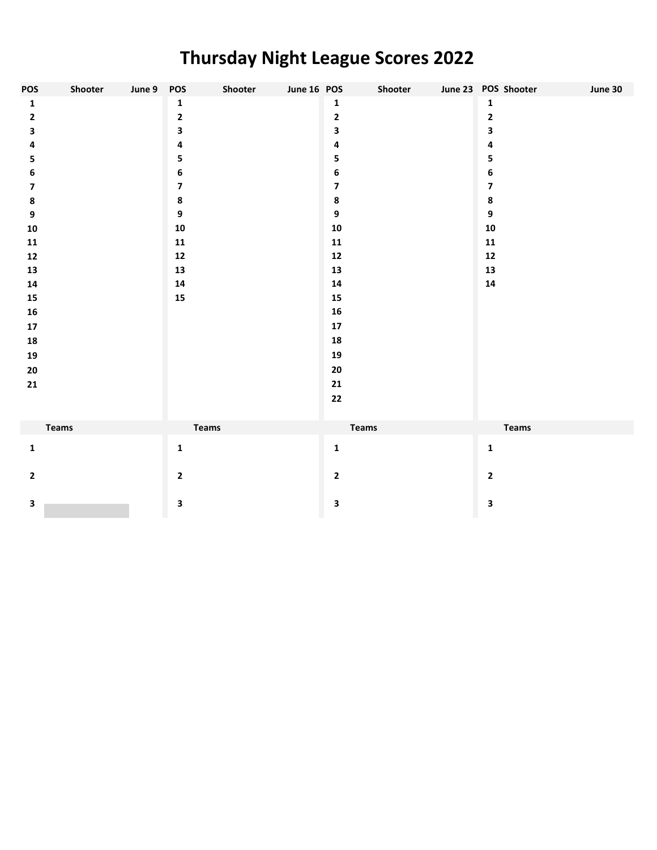## **Thursday Night League Scores 2022**

| <b>POS</b>              | Shooter      | June 9 POS |                         | Shooter | June 16 POS |                         | Shooter | June 23 POS Shooter     | June 30 |
|-------------------------|--------------|------------|-------------------------|---------|-------------|-------------------------|---------|-------------------------|---------|
| $\mathbf{1}$            |              |            | $\mathbf{1}$            |         |             | 1                       |         | $\mathbf 1$             |         |
| $\mathbf{2}$            |              |            | 2                       |         |             | $\mathbf{2}$            |         | $\mathbf 2$             |         |
| $\mathbf{3}$            |              |            | 3                       |         |             | 3                       |         | 3                       |         |
| 4                       |              |            | 4                       |         |             | 4                       |         | 4                       |         |
| 5                       |              |            | 5                       |         |             | 5                       |         | 5                       |         |
| 6                       |              |            | 6                       |         |             | 6                       |         | 6                       |         |
| $\overline{\mathbf{z}}$ |              |            | $\overline{\mathbf{z}}$ |         |             | $\overline{\mathbf{z}}$ |         | $\overline{\mathbf{z}}$ |         |
| $\pmb{8}$               |              |            | $\pmb{8}$               |         |             | $\pmb{8}$               |         | $\pmb{8}$               |         |
| $\boldsymbol{9}$        |              |            | 9                       |         |             | $\boldsymbol{9}$        |         | $\boldsymbol{9}$        |         |
| ${\bf 10}$              |              |            | ${\bf 10}$              |         |             | ${\bf 10}$              |         | ${\bf 10}$              |         |
| 11                      |              |            | 11                      |         |             | ${\bf 11}$              |         | 11                      |         |
| ${\bf 12}$              |              |            | $12$                    |         |             | $12$                    |         | $12$                    |         |
| 13                      |              |            | 13                      |         |             | ${\bf 13}$              |         | ${\bf 13}$              |         |
| ${\bf 14}$              |              |            | ${\bf 14}$              |         |             | ${\bf 14}$              |         | ${\bf 14}$              |         |
| ${\bf 15}$              |              |            | ${\bf 15}$              |         |             | ${\bf 15}$              |         |                         |         |
| ${\bf 16}$              |              |            |                         |         |             | ${\bf 16}$              |         |                         |         |
| ${\bf 17}$              |              |            |                         |         |             | ${\bf 17}$              |         |                         |         |
| 18                      |              |            |                         |         |             | 18                      |         |                         |         |
| 19                      |              |            |                         |         |             | 19                      |         |                         |         |
| 20                      |              |            |                         |         |             | ${\bf 20}$              |         |                         |         |
| 21                      |              |            |                         |         |             | 21                      |         |                         |         |
|                         |              |            |                         |         |             | 22                      |         |                         |         |
|                         |              |            |                         |         |             |                         |         |                         |         |
|                         | <b>Teams</b> |            | Teams                   |         |             | <b>Teams</b>            |         | <b>Teams</b>            |         |
| $\mathbf 1$             |              |            | $\mathbf{1}$            |         |             | $\mathbf 1$             |         | $\mathbf 1$             |         |
|                         |              |            |                         |         |             |                         |         |                         |         |
| $\mathbf{2}$            |              |            | $\mathbf{2}$            |         |             | $\mathbf{2}$            |         | $\mathbf{2}$            |         |
|                         |              |            |                         |         |             |                         |         |                         |         |
| $\mathbf{3}$            |              |            | 3                       |         |             | $\overline{\mathbf{3}}$ |         | $\overline{\mathbf{3}}$ |         |
|                         |              |            |                         |         |             |                         |         |                         |         |